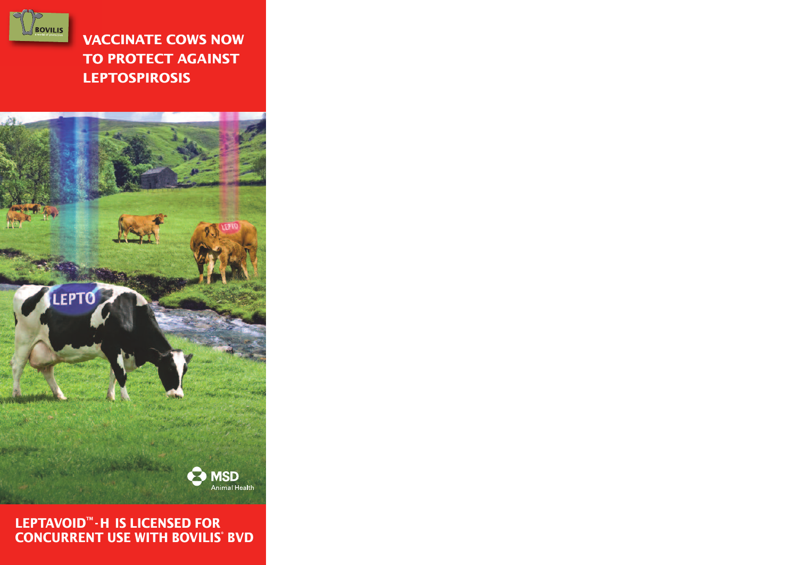

LEPTO

# **Vaccinate cows now to protect against Leptospirosis**



#### **LEPTAVOID™ ⋅H IS LICENSED FOR concurrent use witH BoViLis® BVd**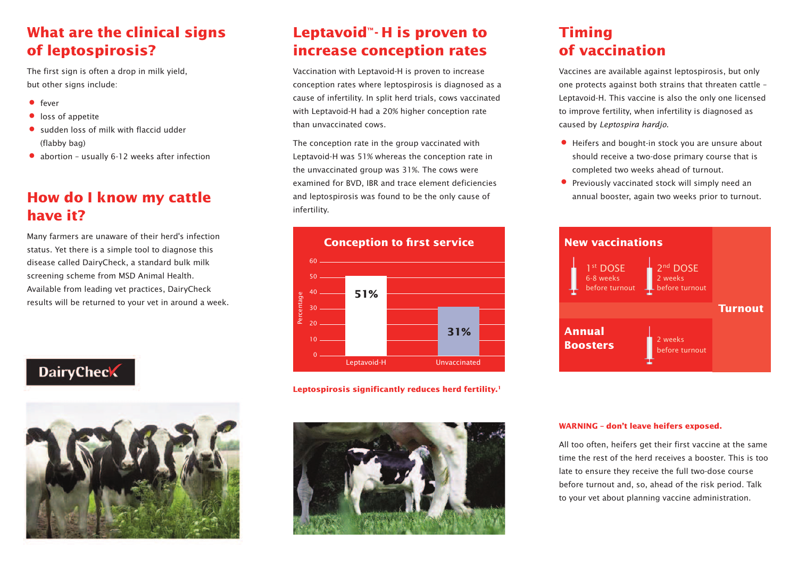### **what are the clinical signs of leptospirosis?**

The first sign is often a drop in milk yield, but other signs include:

- $•$  fever
- loss of appetite
- sudden loss of milk with flaccid udder (flabby bag)
- abortion usually 6-12 weeks after infection

# **How do I know my cattle have it?**

Many farmers are unaware of their herd's infection status. Yet there is a simple tool to diagnose this disease called DairyCheck, a standard bulk milk screening scheme from MSD Animal Health. Available from leading vet practices, DairyCheck results will be returned to your vet in around a week.

# **DairyCheck**



### **Leptavoid™−H** is proven to **increase conception rates**

Vaccination with Leptavoid-H is proven to increase conception rates where leptospirosis is diagnosed as a cause of infertility. In split herd trials, cows vaccinated with Leptavoid-H had a 20% higher conception rate than unvaccinated cows.

The conception rate in the group vaccinated with Leptavoid-H was 51% whereas the conception rate in the unvaccinated group was 31%. The cows were examined for BVD, IBR and trace element deficiencies and leptospirosis was found to be the only cause of infertility.



**Leptospirosis significantly reduces herd fertility. 1**



# **timing of vaccination**

Vaccines are available against leptospirosis, but only one protects against both strains that threaten cattle – Leptavoid-H. This vaccine is also the only one licensed to improve fertility, when infertility is diagnosed as caused by Leptospira hardjo.

- Heifers and bought-in stock you are unsure about should receive a two-dose primary course that is completed two weeks ahead of turnout.
- Previously vaccinated stock will simply need an<br>annual booster, again two weeks prior to turnout.



#### **warning – don't leave heifers exposed.**

All too often, heifers get their first vaccine at the same time the rest of the herd receives a booster. This is too late to ensure they receive the full two-dose course before turnout and, so, ahead of the risk period. Talk to your vet about planning vaccine administration.